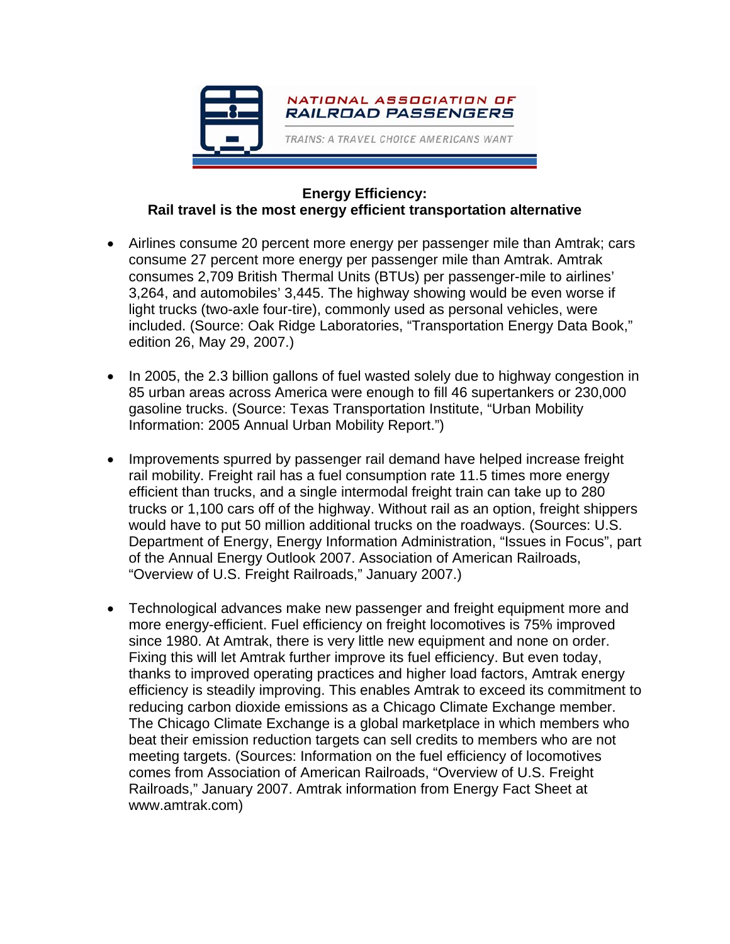

## **Energy Efficiency: Rail travel is the most energy efficient transportation alternative**

- Airlines consume 20 percent more energy per passenger mile than Amtrak; cars consume 27 percent more energy per passenger mile than Amtrak. Amtrak consumes 2,709 British Thermal Units (BTUs) per passenger-mile to airlines' 3,264, and automobiles' 3,445. The highway showing would be even worse if light trucks (two-axle four-tire), commonly used as personal vehicles, were included. (Source: Oak Ridge Laboratories, "Transportation Energy Data Book," edition 26, May 29, 2007.)
- In 2005, the 2.3 billion gallons of fuel wasted solely due to highway congestion in 85 urban areas across America were enough to fill 46 supertankers or 230,000 gasoline trucks. (Source: Texas Transportation Institute, "Urban Mobility Information: 2005 Annual Urban Mobility Report.")
- Improvements spurred by passenger rail demand have helped increase freight rail mobility. Freight rail has a fuel consumption rate 11.5 times more energy efficient than trucks, and a single intermodal freight train can take up to 280 trucks or 1,100 cars off of the highway. Without rail as an option, freight shippers would have to put 50 million additional trucks on the roadways. (Sources: U.S. Department of Energy, Energy Information Administration, "Issues in Focus", part of the Annual Energy Outlook 2007. Association of American Railroads, "Overview of U.S. Freight Railroads," January 2007.)
- Technological advances make new passenger and freight equipment more and more energy-efficient. Fuel efficiency on freight locomotives is 75% improved since 1980. At Amtrak, there is very little new equipment and none on order. Fixing this will let Amtrak further improve its fuel efficiency. But even today, thanks to improved operating practices and higher load factors, Amtrak energy efficiency is steadily improving. This enables Amtrak to exceed its commitment to reducing carbon dioxide emissions as a Chicago Climate Exchange member. The Chicago Climate Exchange is a global marketplace in which members who beat their emission reduction targets can sell credits to members who are not meeting targets. (Sources: Information on the fuel efficiency of locomotives comes from Association of American Railroads, "Overview of U.S. Freight Railroads," January 2007. Amtrak information from Energy Fact Sheet at www.amtrak.com)